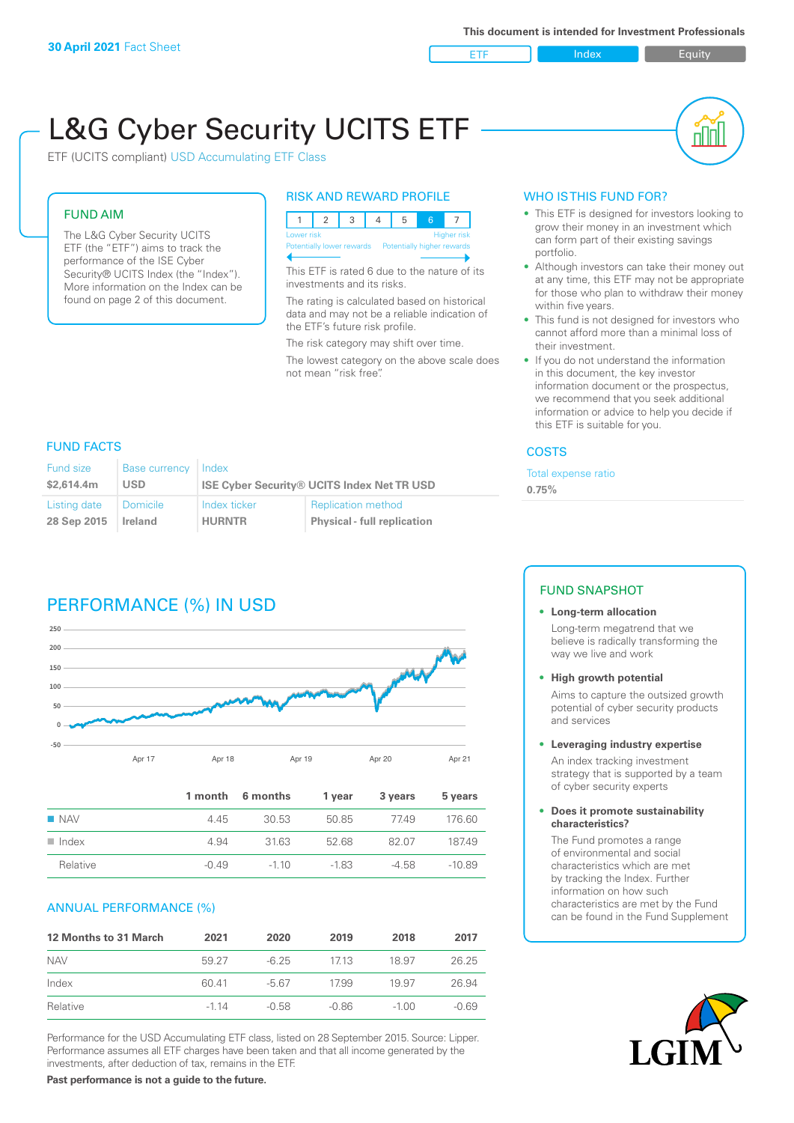ETF Index Requity

nl M

# L&G Cyber Security UCITS ETF

ETF (UCITS compliant) USD Accumulating ETF Class

# FUND AIM

The L&G Cyber Security UCITS ETF (the "ETF") aims to track the performance of the ISE Cyber Security® UCITS Index (the "Index"). More information on the Index can be found on page 2 of this document.

#### RISK AND REWARD PROFILE



This ETF is rated 6 due to the nature of its investments and its risks.

The rating is calculated based on historical data and may not be a reliable indication of the ETF's future risk profile.

The risk category may shift over time.

The lowest category on the above scale does not mean "risk free".

# WHO IS THIS FUND FOR?

- This ETF is designed for investors looking to grow their money in an investment which can form part of their existing savings portfolio.
- Although investors can take their money out at any time, this ETF may not be appropriate for those who plan to withdraw their money within five years.
- This fund is not designed for investors who cannot afford more than a minimal loss of their investment.
- If you do not understand the information in this document, the key investor information document or the prospectus, we recommend that you seek additional information or advice to help you decide if this ETF is suitable for you.

#### **COSTS**

Total expense ratio

**0.75%**

# FUND FACTS

| Fund size    | Base currency   | Index                                             |                                    |
|--------------|-----------------|---------------------------------------------------|------------------------------------|
| \$2.614.4m   | <b>USD</b>      | <b>ISE Cyber Security® UCITS Index Net TR USD</b> |                                    |
| Listing date | <b>Domicile</b> | Index ticker                                      | <b>Replication method</b>          |
| 28 Sep 2015  | Ireland         | <b>HURNTR</b>                                     | <b>Physical - full replication</b> |

# PERFORMANCE (%) IN USD



|                      |         | 1 month 6 months | 1 vear | 3 years | 5 years  |
|----------------------|---------|------------------|--------|---------|----------|
| $\blacksquare$ NAV   | 4.45    | 30.53            | 50.85  | 7749    | 176.60   |
| $\blacksquare$ Index | 4.94    | 3163             | 52.68  | 82.07   | 18749    |
| Relative             | $-0.49$ | $-110$           | $-183$ | $-4.58$ | $-10.89$ |

#### ANNUAL PERFORMANCE (%)

| <b>12 Months to 31 March</b> | 2021   | 2020    | 2019    | 2018    | 2017    |
|------------------------------|--------|---------|---------|---------|---------|
| <b>NAV</b>                   | 59 27  | $-6.25$ | 1713    | 18.97   | 26.25   |
| Index                        | 60.41  | $-5.67$ | 1799    | 19.97   | 26.94   |
| Relative                     | $-114$ | -0.58   | $-0.86$ | $-1.00$ | $-0.69$ |

Performance for the USD Accumulating ETF class, listed on 28 September 2015. Source: Lipper. Performance assumes all ETF charges have been taken and that all income generated by the investments, after deduction of tax, remains in the ETF.

## FUND SNAPSHOT

#### **• Long-term allocation** Long-term megatrend that we believe is radically transforming the

way we live and work

**• High growth potential**

Aims to capture the outsized growth potential of cyber security products and services

**• Leveraging industry expertise**

An index tracking investment strategy that is supported by a team of cyber security experts

**• Does it promote sustainability characteristics?**

The Fund promotes a range of environmental and social characteristics which are met by tracking the Index. Further information on how such characteristics are met by the Fund can be found in the Fund Supplement



**Past performance is not a guide to the future.**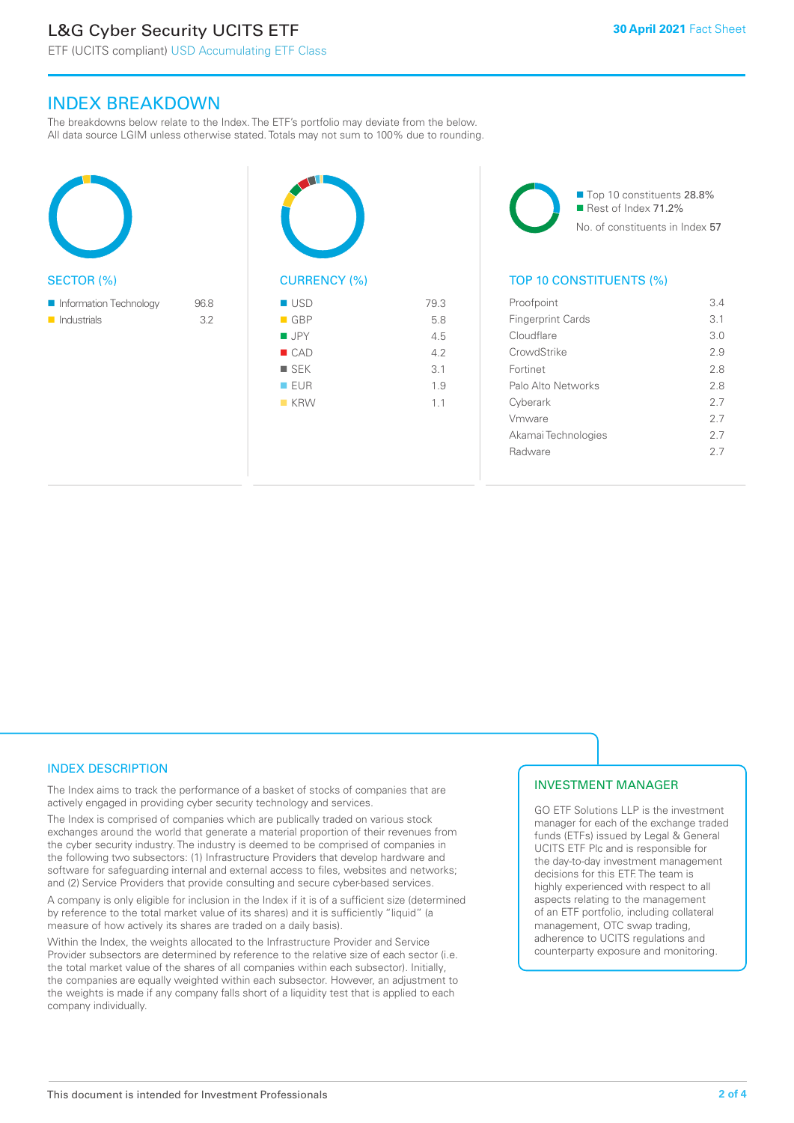# L&G Cyber Security UCITS ETF

ETF (UCITS compliant) USD Accumulating ETF Class

# INDEX BREAKDOWN

The breakdowns below relate to the Index. The ETF's portfolio may deviate from the below. All data source LGIM unless otherwise stated. Totals may not sum to 100% due to rounding.





■ Top 10 constituents 28.8% Rest of Index 71.2% No. of constituents in Index 57

# TOP 10 CONSTITUENTS (%)

| Proofpoint               | 34  |
|--------------------------|-----|
| <b>Fingerprint Cards</b> | 3.1 |
| Cloudflare               | 3.0 |
| CrowdStrike              | 29  |
| Fortinet                 | 2.8 |
| Palo Alto Networks       | 28  |
| Cyberark                 | 27  |
| Vmware                   | 27  |
| Akamai Technologies      | 27  |
| Radware                  | 27  |
|                          |     |

## INDEX DESCRIPTION

The Index aims to track the performance of a basket of stocks of companies that are actively engaged in providing cyber security technology and services.

The Index is comprised of companies which are publically traded on various stock exchanges around the world that generate a material proportion of their revenues from the cyber security industry. The industry is deemed to be comprised of companies in the following two subsectors: (1) Infrastructure Providers that develop hardware and software for safeguarding internal and external access to files, websites and networks; and (2) Service Providers that provide consulting and secure cyber-based services.

A company is only eligible for inclusion in the Index if it is of a sufficient size (determined by reference to the total market value of its shares) and it is sufficiently "liquid" (a measure of how actively its shares are traded on a daily basis).

Within the Index, the weights allocated to the Infrastructure Provider and Service Provider subsectors are determined by reference to the relative size of each sector (i.e. the total market value of the shares of all companies within each subsector). Initially, the companies are equally weighted within each subsector. However, an adjustment to the weights is made if any company falls short of a liquidity test that is applied to each company individually.

#### INVESTMENT MANAGER

GO ETF Solutions LLP is the investment manager for each of the exchange traded funds (ETFs) issued by Legal & General UCITS ETF Plc and is responsible for the day-to-day investment management decisions for this ETF. The team is highly experienced with respect to all aspects relating to the management of an ETF portfolio, including collateral management, OTC swap trading, adherence to UCITS regulations and counterparty exposure and monitoring.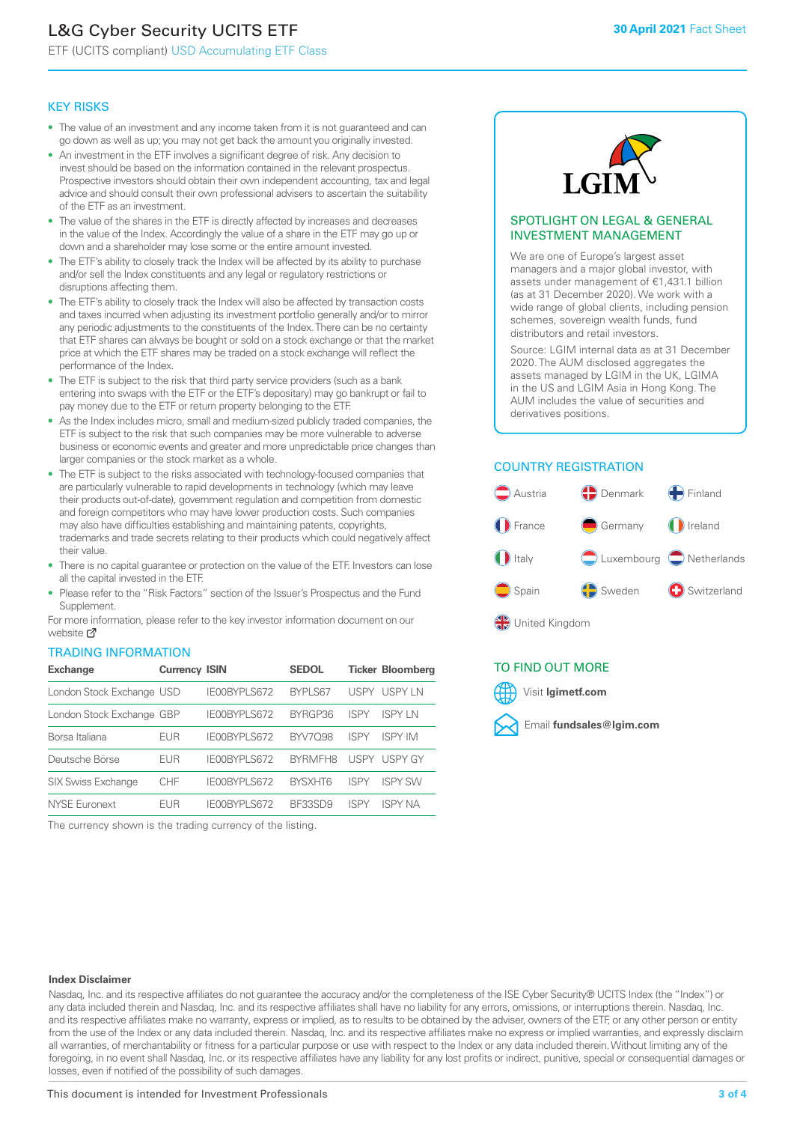# L&G Cyber Security UCITS ETF

ETF (UCITS compliant) USD Accumulating ETF Class

#### KEY RISKS

- The value of an investment and any income taken from it is not guaranteed and can go down as well as up; you may not get back the amount you originally invested.
- An investment in the ETF involves a significant degree of risk. Any decision to invest should be based on the information contained in the relevant prospectus. Prospective investors should obtain their own independent accounting, tax and legal advice and should consult their own professional advisers to ascertain the suitability of the ETF as an investment.
- The value of the shares in the ETF is directly affected by increases and decreases in the value of the Index. Accordingly the value of a share in the ETF may go up or down and a shareholder may lose some or the entire amount invested.
- The ETF's ability to closely track the Index will be affected by its ability to purchase and/or sell the Index constituents and any legal or regulatory restrictions or disruptions affecting them.
- The ETF's ability to closely track the Index will also be affected by transaction costs and taxes incurred when adjusting its investment portfolio generally and/or to mirror any periodic adjustments to the constituents of the Index. There can be no certainty that ETF shares can always be bought or sold on a stock exchange or that the market price at which the ETF shares may be traded on a stock exchange will reflect the performance of the Index.
- The ETF is subject to the risk that third party service providers (such as a bank entering into swaps with the ETF or the ETF's depositary) may go bankrupt or fail to pay money due to the ETF or return property belonging to the ETF.
- As the Index includes micro, small and medium-sized publicly traded companies, the ETF is subject to the risk that such companies may be more vulnerable to adverse business or economic events and greater and more unpredictable price changes than larger companies or the stock market as a whole.
- The ETF is subject to the risks associated with technology-focused companies that are particularly vulnerable to rapid developments in technology (which may leave their products out-of-date), government regulation and competition from domestic and foreign competitors who may have lower production costs. Such companies may also have difficulties establishing and maintaining patents, copyrights, trademarks and trade secrets relating to their products which could negatively affect their value.
- There is no capital quarantee or protection on the value of the ETF. Investors can lose all the capital invested in the ETF.
- Please refer to the "Risk Factors" section of the Issuer's Prospectus and the Fund Supplement.

For mo[re inf](https://www.lgimetf.com/)ormation, please refer to the key investor information document on our website M

#### TRADING INFORMATION

| <b>Exchange</b>           | <b>Currency ISIN</b> |              | <b>SEDOL</b>   |             | <b>Ticker Bloomberg</b> |
|---------------------------|----------------------|--------------|----------------|-------------|-------------------------|
| London Stock Exchange USD |                      | IE00BYPLS672 | BYPLS67        | USPY        | USPY IN                 |
| London Stock Exchange GBP |                      | IE00BYPLS672 | BYRGP36        | ISPY        | <b>ISPY IN</b>          |
| Borsa Italiana            | <b>EUR</b>           | IE00BYPLS672 | <b>BYV7098</b> | ISPY        | <b>ISPY IM</b>          |
| Deutsche Börse            | <b>EUR</b>           | IE00BYPLS672 | <b>BYRMFH8</b> | USPY        | USPY GY                 |
| SIX Swiss Exchange        | <b>CHF</b>           | IE00BYPLS672 | <b>RYSXHT6</b> | <b>ISPY</b> | <b>ISPY SW</b>          |
| <b>NYSE Euronext</b>      | <b>EUR</b>           | IE00BYPLS672 | BE33SD9        | ISPY        | ISPY NA                 |

The currency shown is the trading currency of the listing.



#### SPOTLIGHT ON LEGAL & GENERAL INVESTMENT MANAGEMENT

We are one of Europe's largest asset managers and a major global investor, with assets under management of €1,431.1 billion (as at 31 December 2020). We work with a wide range of global clients, including pension schemes, sovereign wealth funds, fund distributors and retail investors.

Source: LGIM internal data as at 31 December 2020. The AUM disclosed aggregates the assets managed by LGIM in the UK, LGIMA in the US and LGIM Asia in Hong Kong. The AUM includes the value of securities and derivatives positions.

#### COUNTRY REGISTRATION



United Kingdom

## TO FIND OUT MORE



#### **Index Disclaimer**

Nasdaq, Inc. and its respective affiliates do not guarantee the accuracy and/or the completeness of the ISE Cyber Security® UCITS Index (the "Index") or any data included therein and Nasdaq, Inc. and its respective affiliates shall have no liability for any errors, omissions, or interruptions therein. Nasdaq, Inc. and its respective affiliates make no warranty, express or implied, as to results to be obtained by the adviser, owners of the ETF, or any other person or entity from the use of the Index or any data included therein. Nasdaq, Inc. and its respective affiliates make no express or implied warranties, and expressly disclaim all warranties, of merchantability or fitness for a particular purpose or use with respect to the Index or any data included therein. Without limiting any of the foregoing, in no event shall Nasdaq, Inc. or its respective affiliates have any liability for any lost profits or indirect, punitive, special or consequential damages or losses, even if notified of the possibility of such damages.